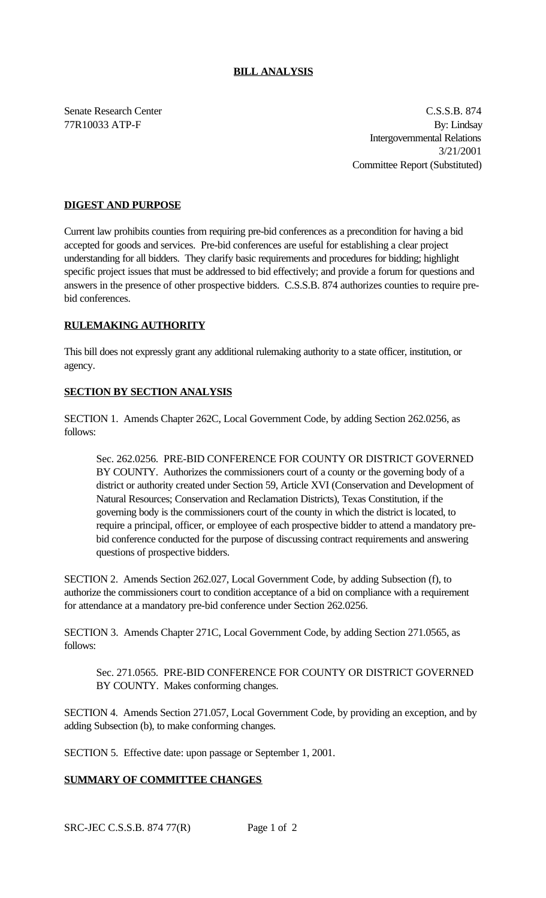### **BILL ANALYSIS**

Senate Research Center C.S.S.B. 874 77R10033 ATP-F By: Lindsay Intergovernmental Relations 3/21/2001 Committee Report (Substituted)

## **DIGEST AND PURPOSE**

Current law prohibits counties from requiring pre-bid conferences as a precondition for having a bid accepted for goods and services. Pre-bid conferences are useful for establishing a clear project understanding for all bidders. They clarify basic requirements and procedures for bidding; highlight specific project issues that must be addressed to bid effectively; and provide a forum for questions and answers in the presence of other prospective bidders. C.S.S.B. 874 authorizes counties to require prebid conferences.

### **RULEMAKING AUTHORITY**

This bill does not expressly grant any additional rulemaking authority to a state officer, institution, or agency.

### **SECTION BY SECTION ANALYSIS**

SECTION 1. Amends Chapter 262C, Local Government Code, by adding Section 262.0256, as follows:

Sec. 262.0256. PRE-BID CONFERENCE FOR COUNTY OR DISTRICT GOVERNED BY COUNTY. Authorizes the commissioners court of a county or the governing body of a district or authority created under Section 59, Article XVI (Conservation and Development of Natural Resources; Conservation and Reclamation Districts), Texas Constitution, if the governing body is the commissioners court of the county in which the district is located, to require a principal, officer, or employee of each prospective bidder to attend a mandatory prebid conference conducted for the purpose of discussing contract requirements and answering questions of prospective bidders.

SECTION 2. Amends Section 262.027, Local Government Code, by adding Subsection (f), to authorize the commissioners court to condition acceptance of a bid on compliance with a requirement for attendance at a mandatory pre-bid conference under Section 262.0256.

SECTION 3. Amends Chapter 271C, Local Government Code, by adding Section 271.0565, as follows:

Sec. 271.0565. PRE-BID CONFERENCE FOR COUNTY OR DISTRICT GOVERNED BY COUNTY. Makes conforming changes.

SECTION 4. Amends Section 271.057, Local Government Code, by providing an exception, and by adding Subsection (b), to make conforming changes.

SECTION 5. Effective date: upon passage or September 1, 2001.

# **SUMMARY OF COMMITTEE CHANGES**

SRC-JEC C.S.S.B. 874 77(R) Page 1 of 2